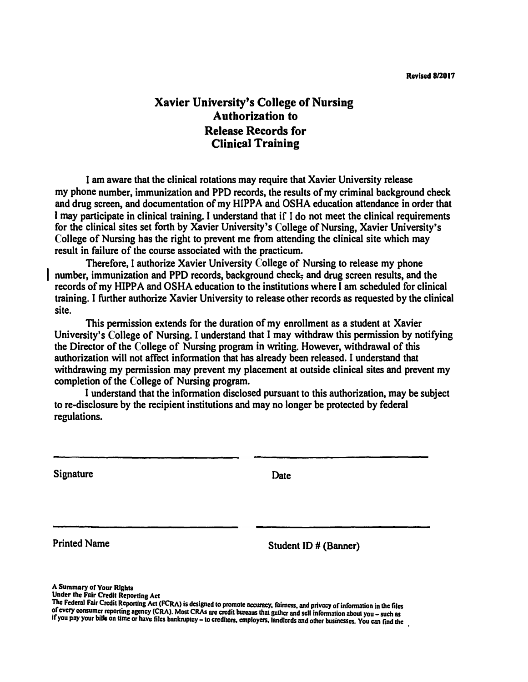## **Xavier University's College of Nursing Authorization to Release Records for Clinical Training**

**I am aware that the clinical rotations may require that Xavier University release my phone number, immunization and PPD records, the results of my criminal background check**  and drug screen, and documentation of my HIPPA and OSHA education attendance in order that **I may participate in clinical training. I understand that if I do not meet the clinical requirements for the clinical sites set forth by Xavier University's College of Nursing, Xavier University's College of Nursing has the right to prevent me from attending the clinical site which may result in failure of the course associated with the practicum.** 

**Therefore, I authorize Xavier University College of Nursing to release my phone**  number, immunization and PPD records, background check- and drug screen results, and the records of my HIPPA and OSHA education to the institutions where I am scheduled for clinical **training. I further authorize Xavier University to release other records as requested by the clinical site.** 

**This permission extends for the duration of my enrollment as a student at Xavier University's College of Nursing. I understand that I may withdraw this permission by notifying the Director of the College of Nursing program in writing. However, withdrawal of this authorization will not affect information that has already been released. I understand that withdrawing my permission may prevent my placement at outside clinical sites and prevent my completion of the College of Nursing program.** 

**I understand that the information disclosed pursuant to this authorization, may be subject to re-disclosure by the recipient institutions and may no longer be protected by federal regulations.** 

**Signature** Date **Date** 

Printed Name Student ID # (Banner)

**A Summary or Your Rlgbts** 

Under the Fair Credit Reporting Act<br>The Federal Fair Credit Reporting Act (FCRA) is designed to promote accuracy, fairness, and privacy of information in the files The Federal Fair Credit Reporting Act (FCRA) is designed to promote accuracy, fairness, and privacy of information in the files<br>of every consumer reporting agency (CRA). Most CRAs are credit bureaus that gather and sell in if you pay your bills on time or have files bankruptcy - to creditors, employers. landlords and other businesses. You can find the